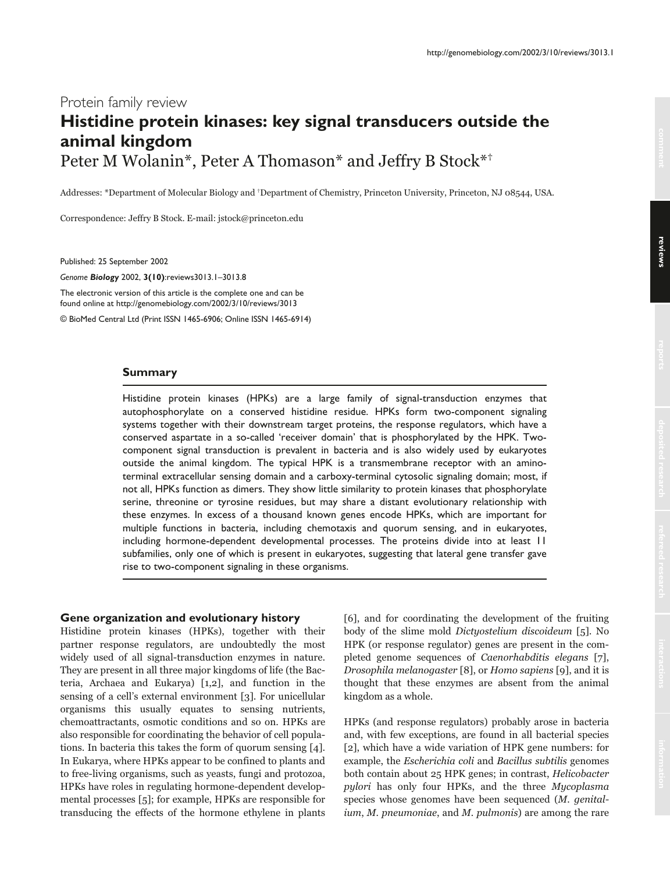# Protein family review **Histidine protein kinases: key signal transducers outside the animal kingdom** Peter M Wolanin\*, Peter A Thomason\* and Jeffry B Stock\*<sup>\*</sup>

Addresses: \*Department of Molecular Biology and †Department of Chemistry, Princeton University, Princeton, NJ 08544, USA.

Correspondence: Jeffry B Stock. E-mail: jstock@princeton.edu

Published: 25 September 2002

*Genome Biology* 2002, **3(10)**:reviews3013.1–3013.8

The electronic version of this article is the complete one and can be found online at http://genomebiology.com/2002/3/10/reviews/3013

© BioMed Central Ltd (Print ISSN 1465-6906; Online ISSN 1465-6914)

#### **Summary**

Histidine protein kinases (HPKs) are a large family of signal-transduction enzymes that autophosphorylate on a conserved histidine residue. HPKs form two-component signaling systems together with their downstream target proteins, the response regulators, which have a conserved aspartate in a so-called 'receiver domain' that is phosphorylated by the HPK. Twocomponent signal transduction is prevalent in bacteria and is also widely used by eukaryotes outside the animal kingdom. The typical HPK is a transmembrane receptor with an aminoterminal extracellular sensing domain and a carboxy-terminal cytosolic signaling domain; most, if not all, HPKs function as dimers. They show little similarity to protein kinases that phosphorylate serine, threonine or tyrosine residues, but may share a distant evolutionary relationship with these enzymes. In excess of a thousand known genes encode HPKs, which are important for multiple functions in bacteria, including chemotaxis and quorum sensing, and in eukaryotes, including hormone-dependent developmental processes. The proteins divide into at least 11 subfamilies, only one of which is present in eukaryotes, suggesting that lateral gene transfer gave rise to two-component signaling in these organisms.

#### **Gene organization and evolutionary history**

Histidine protein kinases (HPKs), together with their partner response regulators, are undoubtedly the most widely used of all signal-transduction enzymes in nature. They are present in all three major kingdoms of life (the Bacteria, Archaea and Eukarya) [1,2], and function in the sensing of a cell's external environment [3]. For unicellular organisms this usually equates to sensing nutrients, chemoattractants, osmotic conditions and so on. HPKs are also responsible for coordinating the behavior of cell populations. In bacteria this takes the form of quorum sensing [4]. In Eukarya, where HPKs appear to be confined to plants and to free-living organisms, such as yeasts, fungi and protozoa, HPKs have roles in regulating hormone-dependent developmental processes [5]; for example, HPKs are responsible for transducing the effects of the hormone ethylene in plants [6], and for coordinating the development of the fruiting body of the slime mold *Dictyostelium discoideum* [5]. No HPK (or response regulator) genes are present in the completed genome sequences of *Caenorhabditis elegans* [7], *Drosophila melanogaster* [8], or *Homo sapiens* [9], and it is thought that these enzymes are absent from the animal kingdom as a whole.

HPKs (and response regulators) probably arose in bacteria and, with few exceptions, are found in all bacterial species [2], which have a wide variation of HPK gene numbers: for example, the *Escherichia coli* and *Bacillus subtilis* genomes both contain about 25 HPK genes; in contrast, *Helicobacter pylori* has only four HPKs, and the three *Mycoplasma* species whose genomes have been sequenced (M. genital*ium, M. pneumoniae, and M. pulmonis) are among the rare*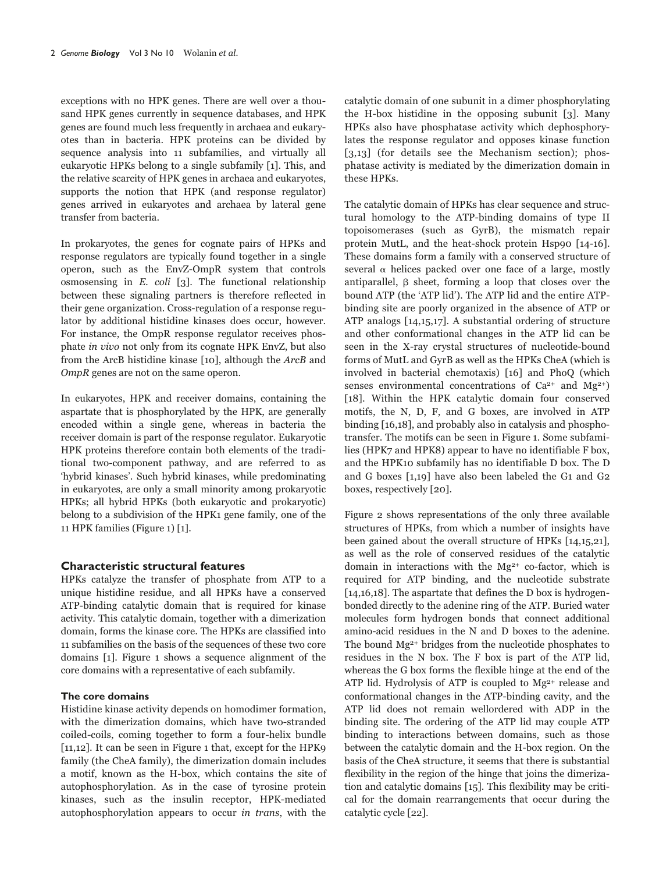exceptions with no HPK genes. There are well over a thousand HPK genes currently in sequence databases, and HPK genes are found much less frequently in archaea and eukaryotes than in bacteria. HPK proteins can be divided by sequence analysis into 11 subfamilies, and virtually all eukaryotic HPKs belong to a single subfamily [1]. This, and the relative scarcity of HPK genes in archaea and eukaryotes, supports the notion that HPK (and response regulator) genes arrived in eukaryotes and archaea by lateral gene transfer from bacteria.

In prokaryotes, the genes for cognate pairs of HPKs and response regulators are typically found together in a single operon, such as the EnvZ-OmpR system that controls osmosensing in  $E$ .  $\text{coli}$  [3]. The functional relationship between these signaling partners is therefore reflected in their gene organization. Cross-regulation of a response regulator by additional histidine kinases does occur, however. For instance, the OmpR response regulator receives phosphate in vivo not only from its cognate HPK EnvZ, but also from the ArcB histidine kinase [10], although the ArcB and  $OmpR$  genes are not on the same operon.

In eukaryotes, HPK and receiver domains, containing the aspartate that is phosphorylated by the HPK, are generally encoded within a single gene, whereas in bacteria the receiver domain is part of the response regulator. Eukaryotic HPK proteins therefore contain both elements of the traditional two-component pathway, and are referred to as 'hybrid kinases'. Such hybrid kinases, while predominating in eukaryotes, are only a small minority among prokaryotic HPKs; all hybrid HPKs (both eukaryotic and prokaryotic) belong to a subdivision of the HPK1 gene family, one of the 11 HPK families (Figure 1) [1].

# **Characteristic structural features**

HPKs catalyze the transfer of phosphate from ATP to a unique histidine residue, and all HPKs have a conserved ATP-binding catalytic domain that is required for kinase activity. This catalytic domain, together with a dimerization domain, forms the kinase core. The HPKs are classified into 11 subfamilies on the basis of the sequences of these two core domains [1]. Figure 1 shows a sequence alignment of the core domains with a representative of each subfamily.

# The core domains

Histidine kinase activity depends on homodimer formation, with the dimerization domains, which have two-stranded coiled-coils, coming together to form a four-helix bundle  $[11,12]$ . It can be seen in Figure 1 that, except for the HPK9 family (the CheA family), the dimerization domain includes a motif, known as the H-box, which contains the site of autophosphorylation. As in the case of tyrosine protein kinases, such as the insulin receptor, HPK-mediated autophosphorylation appears to occur in trans, with the catalytic domain of one subunit in a dimer phosphorylating the H-box histidine in the opposing subunit  $\lceil 3 \rceil$ . Many HPKs also have phosphatase activity which dephosphorylates the response regulator and opposes kinase function  $[3,13]$  (for details see the Mechanism section); phosphatase activity is mediated by the dimerization domain in these HPKs.

The catalytic domain of HPKs has clear sequence and structural homology to the ATP-binding domains of type II topoisomerases (such as GyrB), the mismatch repair protein MutL, and the heat-shock protein Hsp90 [14-16]. These domains form a family with a conserved structure of several  $\alpha$  helices packed over one face of a large, mostly antiparallel,  $\beta$  sheet, forming a loop that closes over the bound ATP (the 'ATP lid'). The ATP lid and the entire ATPbinding site are poorly organized in the absence of ATP or ATP analogs  $[14,15,17]$ . A substantial ordering of structure and other conformational changes in the ATP lid can be seen in the X-ray crystal structures of nucleotide-bound forms of MutL and GyrB as well as the HPKs CheA (which is involved in bacterial chemotaxis) [16] and PhoQ (which senses environmental concentrations of  $Ca^{2+}$  and  $Mg^{2+}$ ) [18]. Within the HPK catalytic domain four conserved motifs, the N, D, F, and G boxes, are involved in ATP binding [16,18], and probably also in catalysis and phosphotransfer. The motifs can be seen in Figure 1. Some subfamilies (HPK7 and HPK8) appear to have no identifiable F box, and the HPK10 subfamily has no identifiable D box. The D and G boxes [1,19] have also been labeled the G1 and G2 boxes, respectively  $[20]$ .

Figure 2 shows representations of the only three available structures of HPKs, from which a number of insights have been gained about the overall structure of HPKs  $[14,15,21]$ , as well as the role of conserved residues of the catalytic domain in interactions with the  $Mg^{2+}$  co-factor, which is required for ATP binding, and the nucleotide substrate [ $14,16,18$ ]. The aspartate that defines the D box is hydrogenbonded directly to the adenine ring of the ATP. Buried water molecules form hydrogen bonds that connect additional amino-acid residues in the N and D boxes to the adenine. The bound Mg<sup>2+</sup> bridges from the nucleotide phosphates to residues in the N box. The F box is part of the ATP lid, whereas the G box forms the flexible hinge at the end of the ATP lid. Hydrolysis of ATP is coupled to  $Mg^{2+}$  release and conformational changes in the ATP-binding cavity, and the ATP lid does not remain wellordered with ADP in the binding site. The ordering of the ATP lid may couple ATP binding to interactions between domains, such as those between the catalytic domain and the H-box region. On the basis of the CheA structure, it seems that there is substantial flexibility in the region of the hinge that joins the dimerization and catalytic domains [15]. This flexibility may be critical for the domain rearrangements that occur during the catalytic cycle [22].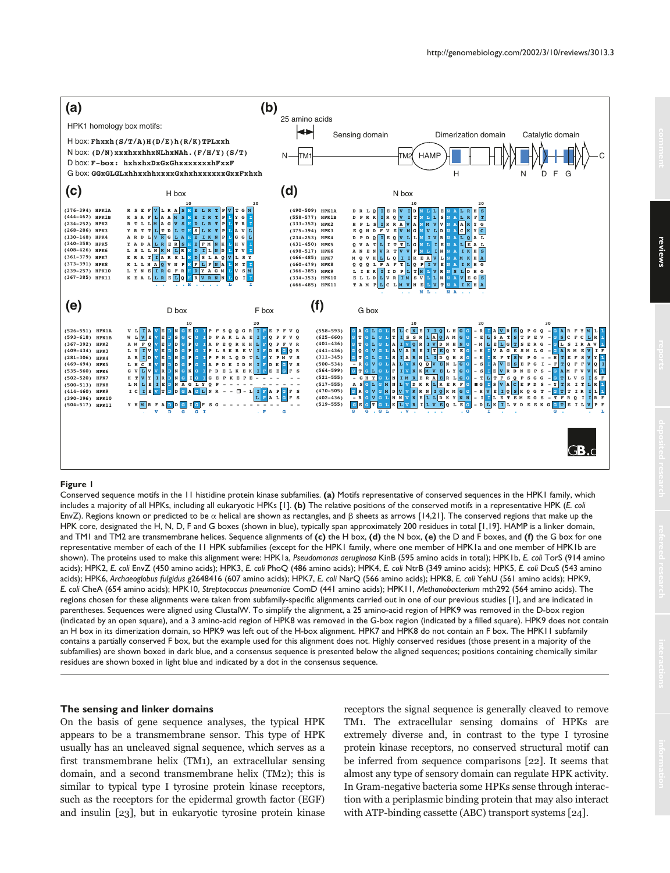

#### **Figure 1**

Conserved sequence motifs in the 11 histidine protein kinase subfamilies. **(a)** Motifs representative of conserved sequences in the HPK1 family, which includes a majority of all HPKs, including all eukaryotic HPKs [1]. **(b)** The relative positions of the conserved motifs in a representative HPK (*E. coli* EnvZ). Regions known or predicted to be  $\alpha$  helical are shown as rectangles, and  $\beta$  sheets as arrows [14,21]. The conserved regions that make up the HPK core, designated the H, N, D, F and G boxes (shown in blue), typically span approximately 200 residues in total [1,19]. HAMP is a linker domain, and TM1 and TM2 are transmembrane helices. Sequence alignments of **(c)** the H box, **(d)** the N box, **(e)** the D and F boxes, and **(f)** the G box for one representative member of each of the 11 HPK subfamilies (except for the HPK1 family, where one member of HPK1a and one member of HPK1b are shown). The proteins used to make this alignment were: HPK1a, *Pseudomonas aeruginosa* KinB (595 amino acids in total); HPK1b, *E. coli* TorS (914 amino acids); HPK2, *E. coli* EnvZ (450 amino acids); HPK3, *E. coli* PhoQ (486 amino acids); HPK4, *E. coli* NtrB (349 amino acids); HPK5, *E. coli* DcuS (543 amino acids); HPK6, *Archaeoglobus fulgidus* g2648416 (607 amino acids); HPK7, *E. coli* NarQ (566 amino acids); HPK8, *E. coli* YehU (561 amino acids); HPK9, *E. coli* CheA (654 amino acids); HPK10, *Streptococcus pneumoniae* ComD (441 amino acids); HPK11, *Methanobacterium* mth292 (564 amino acids). The regions chosen for these alignments were taken from subfamily-specific alignments carried out in one of our previous studies [1], and are indicated in parentheses. Sequences were aligned using ClustalW. To simplify the alignment, a 25 amino-acid region of HPK9 was removed in the D-box region (indicated by an open square), and a 3 amino-acid region of HPK8 was removed in the G-box region (indicated by a filled square). HPK9 does not contain an H box in its dimerization domain, so HPK9 was left out of the H-box alignment. HPK7 and HPK8 do not contain an F box. The HPK11 subfamily contains a partially conserved F box, but the example used for this alignment does not. Highly conserved residues (those present in a majority of the subfamilies) are shown boxed in dark blue, and a consensus sequence is presented below the aligned sequences; positions containing chemically similar residues are shown boxed in light blue and indicated by a dot in the consensus sequence.

#### **The sensing and linker domains**

On the basis of gene sequence analyses, the typical HPK appears to be a transmembrane sensor. This type of HPK usually has an uncleaved signal sequence, which serves as a first transmembrane helix (TM1), an extracellular sensing domain, and a second transmembrane helix (TM2); this is similar to typical type I tyrosine protein kinase receptors, such as the receptors for the epidermal growth factor (EGF) and insulin [23], but in eukaryotic tyrosine protein kinase receptors the signal sequence is generally cleaved to remove TM1. The extracellular sensing domains of HPKs are extremely diverse and, in contrast to the type I tyrosine protein kinase receptors, no conserved structural motif can be inferred from sequence comparisons [22]. It seems that almost any type of sensory domain can regulate HPK activity. In Gram-negative bacteria some HPKs sense through interaction with a periplasmic binding protein that may also interact with ATP-binding cassette (ABC) transport systems [24].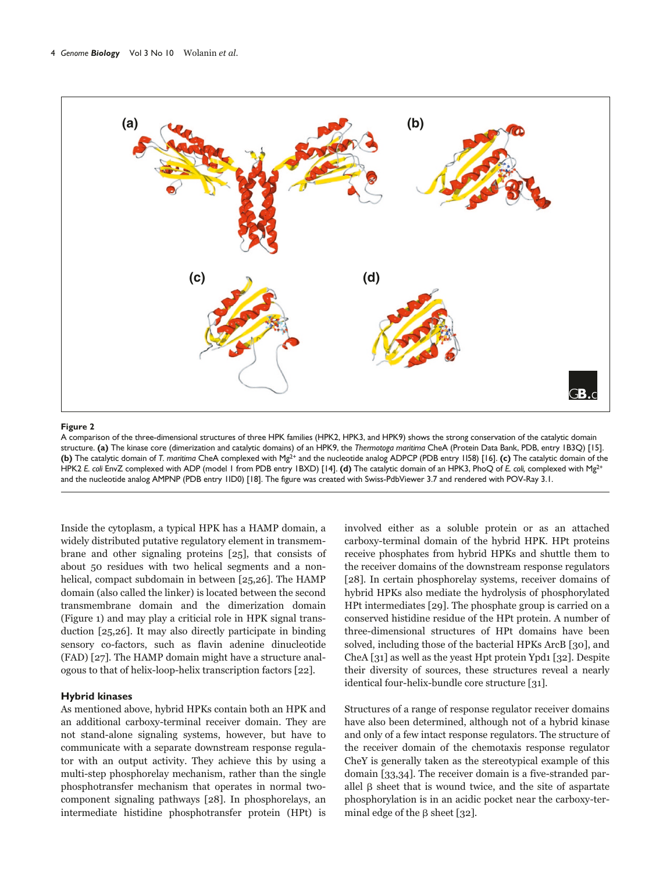

#### Figure 2

A comparison of the three-dimensional structures of three HPK families (HPK2, HPK3, and HPK9) shows the strong conservation of the catalytic domain structure. (a) The kinase core (dimerization and catalytic domains) of an HPK9, the Thermotoga maritima CheA (Protein Data Bank, PDB, entry 1B3Q) [15]. (b) The catalytic domain of T. maritima CheA complexed with Mg<sup>2+</sup> and the nucleotide analog ADPCP (PDB entry 1158) [16]. (c) The catalytic domain of the HPK2 E coli EnvZ complexed with ADP (model 1 from PDB entry 1BXD) [14]. (d) The catalytic domain of an HPK3, PhoQ of E. coli, complexed with Mg<sup>2+</sup> and the nucleotide analog AMPNP (PDB entry 1ID0) [18]. The figure was created with Swiss-PdbViewer 3.7 and rendered with POV-Ray 3.1.

Inside the cytoplasm, a typical HPK has a HAMP domain, a widely distributed putative regulatory element in transmembrane and other signaling proteins [25], that consists of about 50 residues with two helical segments and a nonhelical, compact subdomain in between [25,26]. The HAMP domain (also called the linker) is located between the second transmembrane domain and the dimerization domain (Figure 1) and may play a criticial role in HPK signal transduction [25,26]. It may also directly participate in binding sensory co-factors, such as flavin adenine dinucleotide (FAD) [27]. The HAMP domain might have a structure analogous to that of helix-loop-helix transcription factors [22].

# **Hybrid kinases**

As mentioned above, hybrid HPKs contain both an HPK and an additional carboxy-terminal receiver domain. They are not stand-alone signaling systems, however, but have to communicate with a separate downstream response regulator with an output activity. They achieve this by using a multi-step phosphorelay mechanism, rather than the single phosphotransfer mechanism that operates in normal twocomponent signaling pathways [28]. In phosphorelays, an intermediate histidine phosphotransfer protein (HPt) is involved either as a soluble protein or as an attached carboxy-terminal domain of the hybrid HPK. HPt proteins receive phosphates from hybrid HPKs and shuttle them to the receiver domains of the downstream response regulators [28]. In certain phosphorelay systems, receiver domains of hybrid HPKs also mediate the hydrolysis of phosphorylated HPt intermediates [29]. The phosphate group is carried on a conserved histidine residue of the HPt protein. A number of three-dimensional structures of HPt domains have been solved, including those of the bacterial HPKs ArcB [30], and CheA [31] as well as the yeast Hpt protein Ypd1 [32]. Despite their diversity of sources, these structures reveal a nearly identical four-helix-bundle core structure [31].

Structures of a range of response regulator receiver domains have also been determined, although not of a hybrid kinase and only of a few intact response regulators. The structure of the receiver domain of the chemotaxis response regulator CheY is generally taken as the stereotypical example of this domain [33,34]. The receiver domain is a five-stranded parallel  $\beta$  sheet that is wound twice, and the site of aspartate phosphorylation is in an acidic pocket near the carboxy-terminal edge of the  $\beta$  sheet [32].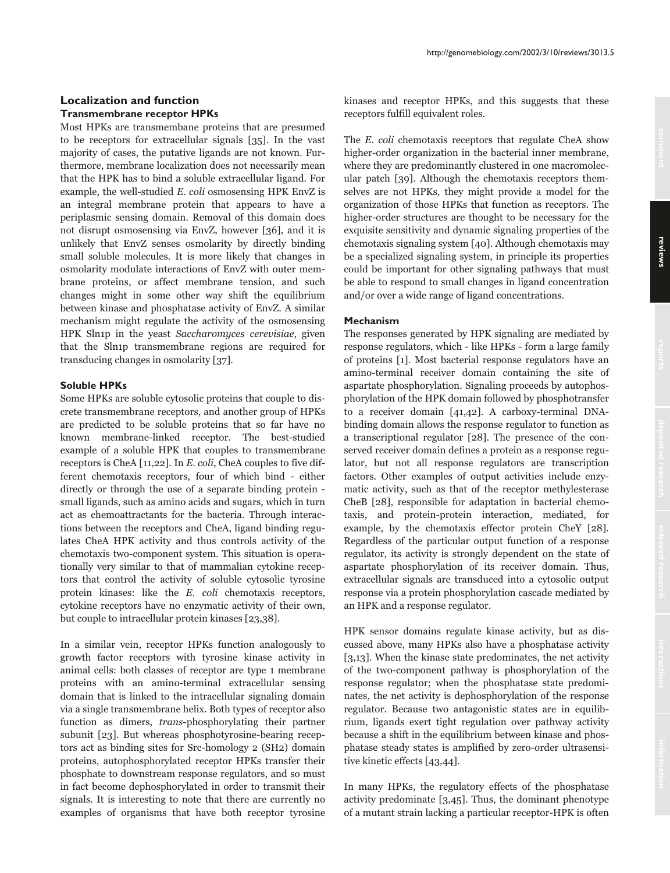# **Localization and function Transmembrane receptor HPKs**

Most HPKs are transmembane proteins that are presumed to be receptors for extracellular signals  $[35]$ . In the vast majority of cases, the putative ligands are not known. Furthermore, membrane localization does not necessarily mean that the HPK has to bind a soluble extracellular ligand. For example, the well-studied E. coli osmosensing HPK EnvZ is an integral membrane protein that appears to have a periplasmic sensing domain. Removal of this domain does not disrupt osmosensing via EnvZ, however [36], and it is unlikely that EnvZ senses osmolarity by directly binding small soluble molecules. It is more likely that changes in osmolarity modulate interactions of EnvZ with outer membrane proteins, or affect membrane tension, and such changes might in some other way shift the equilibrium between kinase and phosphatase activity of EnvZ. A similar mechanism might regulate the activity of the osmosensing HPK Sln1p in the yeast Saccharomyces cerevisiae, given that the Sln1p transmembrane regions are required for transducing changes in osmolarity [37].

# **Soluble HPKs**

Some HPKs are soluble cytosolic proteins that couple to discrete transmembrane receptors, and another group of HPKs are predicted to be soluble proteins that so far have no known membrane-linked receptor. The best-studied example of a soluble HPK that couples to transmembrane receptors is CheA [11,22]. In E. coli, CheA couples to five different chemotaxis receptors, four of which bind - either directly or through the use of a separate binding protein small ligands, such as amino acids and sugars, which in turn act as chemoattractants for the bacteria. Through interactions between the receptors and CheA, ligand binding regulates CheA HPK activity and thus controls activity of the chemotaxis two-component system. This situation is operationally very similar to that of mammalian cytokine receptors that control the activity of soluble cytosolic tyrosine protein kinases: like the E. coli chemotaxis receptors, cytokine receptors have no enzymatic activity of their own, but couple to intracellular protein kinases [23,38].

In a similar vein, receptor HPKs function analogously to growth factor receptors with tyrosine kinase activity in animal cells: both classes of receptor are type 1 membrane proteins with an amino-terminal extracellular sensing domain that is linked to the intracellular signaling domain via a single transmembrane helix. Both types of receptor also function as dimers, *trans-phosphorylating* their partner subunit [23]. But whereas phosphotyrosine-bearing receptors act as binding sites for Src-homology 2 (SH2) domain proteins, autophosphorylated receptor HPKs transfer their phosphate to downstream response regulators, and so must in fact become dephosphorylated in order to transmit their signals. It is interesting to note that there are currently no examples of organisms that have both receptor tyrosine

kinases and receptor HPKs, and this suggests that these receptors fulfill equivalent roles.

The E. coli chemotaxis receptors that regulate CheA show higher-order organization in the bacterial inner membrane, where they are predominantly clustered in one macromolecular patch [39]. Although the chemotaxis receptors themselves are not HPKs, they might provide a model for the organization of those HPKs that function as receptors. The higher-order structures are thought to be necessary for the exquisite sensitivity and dynamic signaling properties of the chemotaxis signaling system [40]. Although chemotaxis may be a specialized signaling system, in principle its properties could be important for other signaling pathways that must be able to respond to small changes in ligand concentration and/or over a wide range of ligand concentrations.

## **Mechanism**

The responses generated by HPK signaling are mediated by response regulators, which - like HPKs - form a large family of proteins [1]. Most bacterial response regulators have an amino-terminal receiver domain containing the site of aspartate phosphorylation. Signaling proceeds by autophosphorylation of the HPK domain followed by phosphotransfer to a receiver domain [41,42]. A carboxy-terminal DNAbinding domain allows the response regulator to function as a transcriptional regulator [28]. The presence of the conserved receiver domain defines a protein as a response regulator, but not all response regulators are transcription factors. Other examples of output activities include enzymatic activity, such as that of the receptor methylesterase CheB [28], responsible for adaptation in bacterial chemotaxis, and protein-protein interaction, mediated, for example, by the chemotaxis effector protein CheY [28]. Regardless of the particular output function of a response regulator, its activity is strongly dependent on the state of aspartate phosphorylation of its receiver domain. Thus, extracellular signals are transduced into a cytosolic output response via a protein phosphorylation cascade mediated by an HPK and a response regulator.

HPK sensor domains regulate kinase activity, but as discussed above, many HPKs also have a phosphatase activity [3,13]. When the kinase state predominates, the net activity of the two-component pathway is phosphorylation of the response regulator; when the phosphatase state predominates, the net activity is dephosphorylation of the response regulator. Because two antagonistic states are in equilibrium, ligands exert tight regulation over pathway activity because a shift in the equilibrium between kinase and phosphatase steady states is amplified by zero-order ultrasensitive kinetic effects [43,44].

In many HPKs, the regulatory effects of the phosphatase activity predominate  $[3,45]$ . Thus, the dominant phenotype of a mutant strain lacking a particular receptor-HPK is often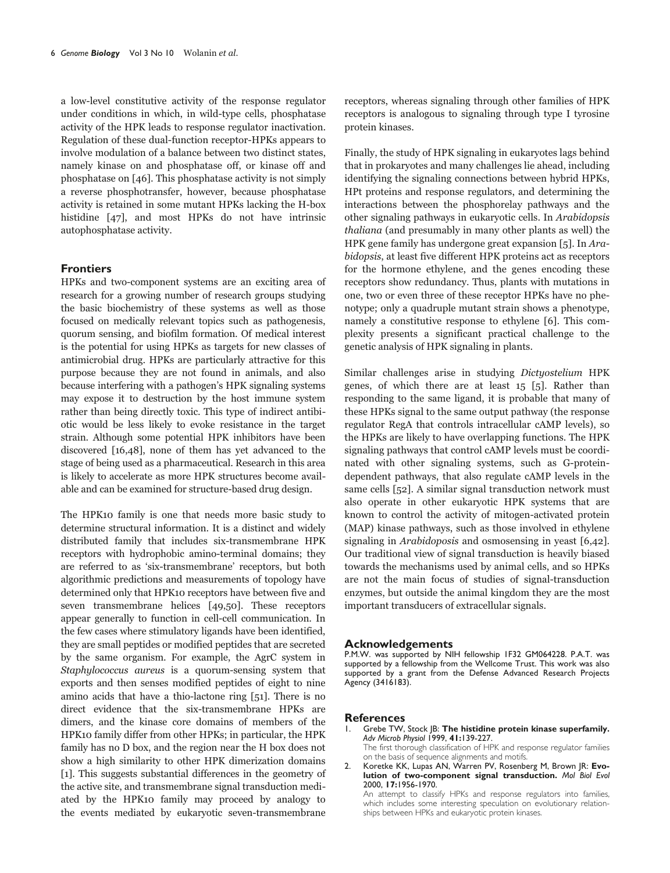a low-level constitutive activity of the response regulator under conditions in which, in wild-type cells, phosphatase activity of the HPK leads to response regulator inactivation. Regulation of these dual-function receptor-HPKs appears to involve modulation of a balance between two distinct states, namely kinase on and phosphatase off, or kinase off and phosphatase on [46]. This phosphatase activity is not simply a reverse phosphotransfer, however, because phosphatase activity is retained in some mutant HPKs lacking the H-box histidine [47], and most HPKs do not have intrinsic autophosphatase activity.

# **Frontiers**

HPKs and two-component systems are an exciting area of research for a growing number of research groups studying the basic biochemistry of these systems as well as those focused on medically relevant topics such as pathogenesis, quorum sensing, and biofilm formation. Of medical interest is the potential for using HPKs as targets for new classes of antimicrobial drug. HPKs are particularly attractive for this purpose because they are not found in animals, and also because interfering with a pathogen's HPK signaling systems may expose it to destruction by the host immune system rather than being directly toxic. This type of indirect antibiotic would be less likely to evoke resistance in the target strain. Although some potential HPK inhibitors have been discovered [16,48], none of them has yet advanced to the stage of being used as a pharmaceutical. Research in this area is likely to accelerate as more HPK structures become available and can be examined for structure-based drug design.

The HPK10 family is one that needs more basic study to determine structural information. It is a distinct and widely distributed family that includes six-transmembrane HPK receptors with hydrophobic amino-terminal domains; they are referred to as 'six-transmembrane' receptors, but both algorithmic predictions and measurements of topology have determined only that HPK10 receptors have between five and seven transmembrane helices [49,50]. These receptors appear generally to function in cell-cell communication. In the few cases where stimulatory ligands have been identified, they are small peptides or modified peptides that are secreted by the same organism. For example, the AgrC system in Staphylococcus aureus is a quorum-sensing system that exports and then senses modified peptides of eight to nine amino acids that have a thio-lactone ring  $[51]$ . There is no direct evidence that the six-transmembrane HPKs are dimers, and the kinase core domains of members of the HPK10 family differ from other HPKs; in particular, the HPK family has no D box, and the region near the H box does not show a high similarity to other HPK dimerization domains [1]. This suggests substantial differences in the geometry of the active site, and transmembrane signal transduction mediated by the HPK10 family may proceed by analogy to the events mediated by eukaryotic seven-transmembrane

receptors, whereas signaling through other families of HPK receptors is analogous to signaling through type I tyrosine protein kinases.

Finally, the study of HPK signaling in eukaryotes lags behind that in prokaryotes and many challenges lie ahead, including identifying the signaling connections between hybrid HPKs, HPt proteins and response regulators, and determining the interactions between the phosphorelay pathways and the other signaling pathways in eukaryotic cells. In *Arabidopsis thaliana* (and presumably in many other plants as well) the HPK gene family has undergone great expansion [5]. In Arabidopsis, at least five different HPK proteins act as receptors for the hormone ethylene, and the genes encoding these receptors show redundancy. Thus, plants with mutations in one, two or even three of these receptor HPKs have no phenotype; only a quadruple mutant strain shows a phenotype, namely a constitutive response to ethylene [6]. This complexity presents a significant practical challenge to the genetic analysis of HPK signaling in plants.

Similar challenges arise in studying *Dictyostelium* HPK genes, of which there are at least 15 [5]. Rather than responding to the same ligand, it is probable that many of these HPKs signal to the same output pathway (the response regulator RegA that controls intracellular cAMP levels), so the HPKs are likely to have overlapping functions. The HPK signaling pathways that control cAMP levels must be coordinated with other signaling systems, such as G-proteindependent pathways, that also regulate cAMP levels in the same cells  $[52]$ . A similar signal transduction network must also operate in other eukaryotic HPK systems that are known to control the activity of mitogen-activated protein (MAP) kinase pathways, such as those involved in ethylene signaling in *Arabidoposis* and osmosensing in yeast [6,42]. Our traditional view of signal transduction is heavily biased towards the mechanisms used by animal cells, and so HPKs are not the main focus of studies of signal-transduction enzymes, but outside the animal kingdom they are the most important transducers of extracellular signals.

#### **Acknowledgements**

P.M.W. was supported by NIH fellowship IF32 GM064228. P.A.T. was supported by a fellowship from the Wellcome Trust. This work was also supported by a grant from the Defense Advanced Research Projects Agency (3416183).

#### **References**

- Grebe TW, Stock JB: The histidine protein kinase superfamily. Ι. Adv Microb Physiol 1999, 41:139-227. The first thorough classification of HPK and response regulator families
	- on the basis of sequence alignments and motifs.
- Koretke KK, Lupas AN, Warren PV, Rosenberg M, Brown JR: Evo- $\mathcal{L}$ lution of two-component signal transduction. Mol Biol Evol 2000, 17:1956-1970.
	- An attempt to classify HPKs and response regulators into families, which includes some interesting speculation on evolutionary relationships between HPKs and eukaryotic protein kinases.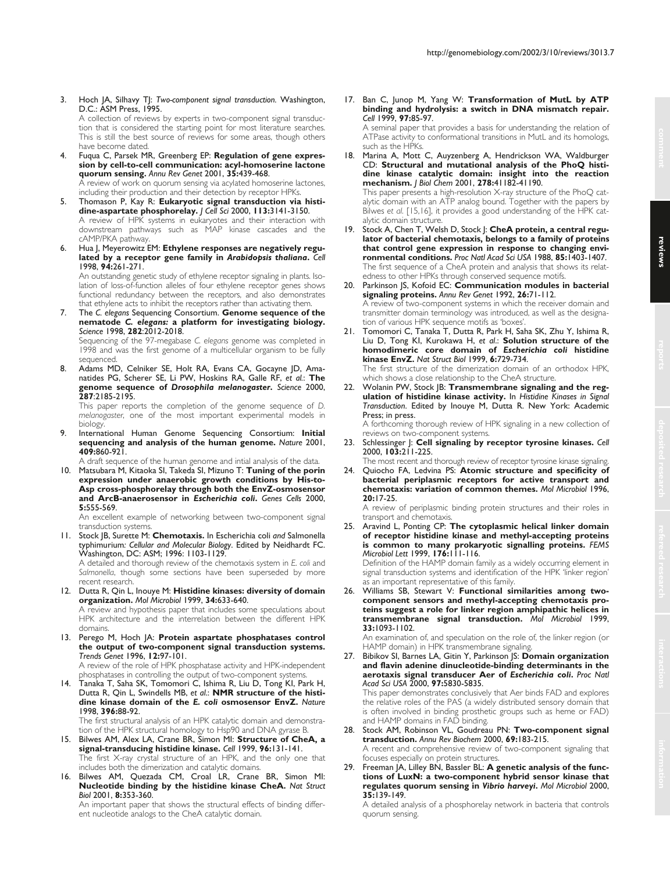3. Hoch JA, Silhavy TJ: *Two-component signal transduction.* Washington, D.C.: ASM Press, 1995. A collection of reviews by experts in two-component signal transduction that is considered the starting point for most literature searches.

This is still the best source of reviews for some areas, though others have become dated.

4. Fuqua C, Parsek MR, Greenberg EP: **Regulation of gene expression by cell-to-cell communication: acyl-homoserine lactone quorum sensing.** *Annu Rev Genet* 2001, **35:**439-468. A review of work on quorum sensing via acylated homoserine lactones,

including their production and their detection by receptor HPKs. 5. Thomason P, Kay R: **Eukaryotic signal transduction via histidine-aspartate phosphorelay.** *J Cell Sci* 2000, **113:**3141-3150. A review of HPK systems in eukaryotes and their interaction with downstream pathways such as MAP kinase cascades and the

cAMP/PKA pathway. 6. Hua J, Meyerowitz EM: **Ethylene responses are negatively regulated by a receptor gene family in** *Arabidopsis thaliana***.** *Cell* 1998, **94:**261-271.

An outstanding genetic study of ethylene receptor signaling in plants. Isolation of loss-of-function alleles of four ethylene receptor genes shows functional redundancy between the receptors, and also demonstrates that ethylene acts to inhibit the receptors rather than activating them.

7. The *C. elegans* Sequencing Consortium. **Genome sequence of the nematode** *C. elegans:* **a platform for investigating biology.** *Science* 1998, **282**:2012-2018.

Sequencing of the 97-megabase *C. elegans* genome was completed in 1998 and was the first genome of a multicellular organism to be fully sequenced.

8. Adams MD, Celniker SE, Holt RA, Evans CA, Gocayne JD, Amanatides PG, Scherer SE, Li PW, Hoskins RA, Galle RF, *et al.*: **The genome sequence of** *Drosophila melanogaster***.** *Science* 2000, **287**:2185-2195.

This paper reports the completion of the genome sequence of *D. melanogaster*, one of the most important experimental models in biology.

9. International Human Genome Sequencing Consortium: **Initial sequencing and analysis of the human genome.** *Nature* 2001, **409:**860-921.

A draft sequence of the human genome and intial analysis of the data.

10. Matsubara M, Kitaoka SI, Takeda SI, Mizuno T: **Tuning of the porin expression under anaerobic growth conditions by His-to-Asp cross-phosphorelay through both the EnvZ-osmosensor and ArcB-anaerosensor in** *Escherichia coli***.** *Genes Cells* 2000, **5:**555-569.

An excellent example of networking between two-component signal transduction systems.

- 11. Stock JB, Surette M: **Chemotaxis.** In Escherichia coli *and* Salmonella typhimurium*: Cellular and Molecular Biology*. Edited by Neidhardt FC. Washington, DC: ASM; 1996: 1103-1129. A detailed and thorough review of the chemotaxis system in *E. coli* and *Salmonella*, though some sections have been superseded by more
- recent research. 12. Dutta R, Qin L, Inouye M: **Histidine kinases: diversity of domain organization.** *Mol Microbiol* 1999, **34:**633-640. A review and hypothesis paper that includes some speculations about

HPK architecture and the interrelation between the different HPK domains.

13. Perego M, Hoch JA: **Protein aspartate phosphatases control the output of two-component signal transduction systems.** *Trends Genet* 1996, **12:**97-101. A review of the role of HPK phosphatase activity and HPK-independent

phosphatases in controlling the output of two-component systems.

14. Tanaka T, Saha SK, Tomomori C, Ishima R, Liu D, Tong KI, Park H, Dutta R, Qin L, Swindells MB, *et al*.: **NMR structure of the histidine kinase domain of the** *E. coli* **osmosensor EnvZ.** *Nature* 1998, **396:**88-92. The first structural analysis of an HPK catalytic domain and demonstra-

tion of the HPK structural homology to Hsp90 and DNA gyrase B. 15. Bilwes AM, Alex LA, Crane BR, Simon MI: **Structure of CheA, a**

- **signal-transducing histidine kinase.** *Cell* 1999, **96:**131-141. The first X-ray crystal structure of an HPK, and the only one that includes both the dimerization and catalytic domains.
- 16. Bilwes AM, Quezada CM, Croal LR, Crane BR, Simon MI: **Nucleotide binding by the histidine kinase CheA.** *Nat Struct Biol* 2001, **8:**353-360.

An important paper that shows the structural effects of binding different nucleotide analogs to the CheA catalytic domain.

17. Ban C, Junop M, Yang W: **Transformation of MutL by ATP binding and hydrolysis: a switch in DNA mismatch repair.** *Cell* 1999, **97:**85-97.

A seminal paper that provides a basis for understanding the relation of ATPase activity to conformational transitions in MutL and its homologs, such as the HPKs.

18. Marina A, Mott C, Auyzenberg A, Hendrickson WA, Waldburger CD: **Structural and mutational analysis of the PhoQ histidine kinase catalytic domain: insight into the reaction mechanism.** *J Biol Chem* 2001, **278:**41182-41190.

This paper presents a high-resolution X-ray structure of the PhoQ catalytic domain with an ATP analog bound. Together with the papers by Bilwes *et al.* [15,16], it provides a good understanding of the HPK catalytic domain structure.

- Stock A, Chen T, Welsh D, Stock |: CheA protein, a central regu**lator of bacterial chemotaxis, belongs to a family of proteins that control gene expression in response to changing environmental conditions.** *Proc Natl Acad Sci USA* 1988, **85:**1403-1407. The first sequence of a CheA protein and analysis that shows its relatedness to other HPKs through conserved sequence motifs.
- 20. Parkinson JS, Kofoid EC: **Communication modules in bacterial signaling proteins.** *Annu Rev Genet* 1992, **26:**71-112. A review of two-component systems in which the receiver domain and transmitter domain terminology was introduced, as well as the designation of various HPK sequence motifs as 'boxes'.
- 21. Tomomori C, Tanaka T, Dutta R, Park H, Saha SK, Zhu Y, Ishima R, Liu D, Tong KI, Kurokawa H, *et al*.: **Solution structure of the homodimeric core domain of** *Escherichia coli* **histidine kinase EnvZ.** *Nat Struct Biol* 1999, **6:**729-734. The first structure of the dimerization domain of an orthodox HPK, which shows a close relationship to the CheA structure.

22. Wolanin PW, Stock JB: **Transmembrane signaling and the regulation of histidine kinase activity.** In *Histidine Kinases in Signal Transduction*. Edited by Inouye M, Dutta R. New York: Academic Press; in press.

A forthcoming thorough review of HPK signaling in a new collection of reviews on two-component systems.

- 23. Schlessinger J: **Cell signaling by receptor tyrosine kinases.** *Cell* 2000, **103:**211-225.
- The most recent and thorough review of receptor tyrosine kinase signaling. 24. Quiocho FA, Ledvina PS: **Atomic structure and specificity of**
- **bacterial periplasmic receptors for active transport and chemotaxis: variation of common themes.** *Mol Microbiol* 1996, **20:**17-25.

A review of periplasmic binding protein structures and their roles in transport and chemotaxis.

25. Aravind L, Ponting CP: **The cytoplasmic helical linker domain of receptor histidine kinase and methyl-accepting proteins is common to many prokaryotic signalling proteins.** *FEMS Microbiol Lett* 1999, **176:**111-116.

Definition of the HAMP domain family as a widely occurring element in signal transduction systems and identification of the HPK 'linker region' as an important representative of this family.

26. Williams SB, Stewart V: **Functional similarities among twocomponent sensors and methyl-accepting chemotaxis proteins suggest a role for linker region amphipathic helices in transmembrane signal transduction.** *Mol Microbiol* 1999, **33:**1093-1102.

An examination of, and speculation on the role of, the linker region (or HAMP domain) in HPK transmembrane signaling.

27. Bibikov SI, Barnes LA, Gitin Y, Parkinson JS: **Domain organization and flavin adenine dinucleotide-binding determinants in the aerotaxis signal transducer Aer of** *Escherichia coli***.** *Proc Natl Acad Sci USA* 2000, **97:**5830-5835.

This paper demonstrates conclusively that Aer binds FAD and explores the relative roles of the PAS (a widely distributed sensory domain that is often involved in binding prosthetic groups such as heme or FAD) and HAMP domains in FAD binding.

- 28. Stock AM, Robinson VL, Goudreau PN: **Two-component signal transduction.** *Annu Rev Biochem* 2000, **69:**183-215. A recent and comprehensive review of two-component signaling that focuses especially on protein structures.
- 29. Freeman JA, Lilley BN, Bassler BL: **A genetic analysis of the functions of LuxN: a two-component hybrid sensor kinase that regulates quorum sensing in** *Vibrio harveyi***.** *Mol Microbiol* 2000, **35:**139-149.

A detailed analysis of a phosphorelay network in bacteria that controls quorum sensing.